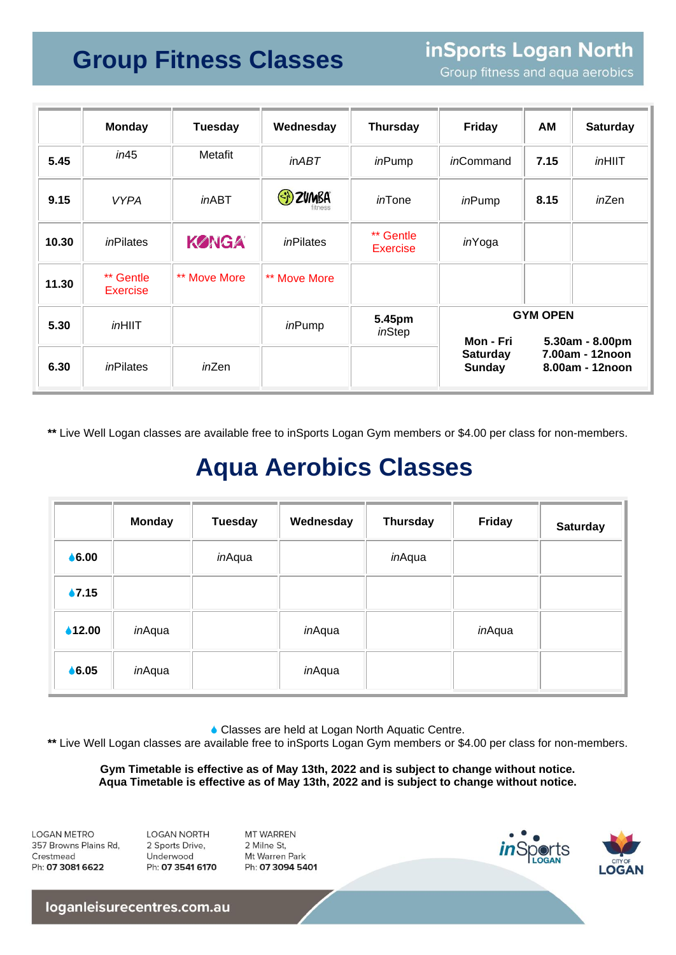## **Group Fitness Classes**

inSports Logan North

Group fitness and aqua aerobics

|       | <b>Monday</b>                | <b>Tuesday</b> | Wednesday     | <b>Thursday</b>              | <b>Friday</b>                                 | AM                                                    | <b>Saturday</b> |
|-------|------------------------------|----------------|---------------|------------------------------|-----------------------------------------------|-------------------------------------------------------|-----------------|
| 5.45  | in45                         | Metafit        | <i>in ABT</i> | inPump                       | <i>in</i> Command                             | 7.15                                                  | <i>in</i> HIIT  |
| 9.15  | <b>VYPA</b>                  | $in$ ABT       | ED ZUMBA      | <i>in</i> Tone               | inPump                                        | 8.15                                                  | inZen           |
| 10.30 | inPilates                    | <b>KØNGA</b>   | inPilates     | ** Gentle<br><b>Exercise</b> | inYoga                                        |                                                       |                 |
| 11.30 | ** Gentle<br><b>Exercise</b> | ** Move More   | ** Move More  |                              |                                               |                                                       |                 |
| 5.30  | $in$ HIIT                    |                | inPump        | 5.45pm<br>inStep             | <b>GYM OPEN</b>                               |                                                       |                 |
| 6.30  | inPilates                    | inZen          |               |                              | Mon - Fri<br><b>Saturday</b><br><b>Sunday</b> | 5.30am - 8.00pm<br>7.00am - 12noon<br>8.00am - 12noon |                 |

**\*\*** Live Well Logan classes are available free to inSports Logan Gym members or \$4.00 per class for non-members.

## **Aqua Aerobics Classes**

|                   | <b>Monday</b> | <b>Tuesday</b> | Wednesday | <b>Thursday</b> | <b>Friday</b> | <b>Saturday</b> |
|-------------------|---------------|----------------|-----------|-----------------|---------------|-----------------|
| $\bullet$ 6.00    |               | inAqua         |           | inAqua          |               |                 |
| $\bullet$ 7.15    |               |                |           |                 |               |                 |
| $\triangle$ 12.00 | inAqua        |                | inAqua    |                 | inAqua        |                 |
| $\bullet$ 6.05    | inAqua        |                | inAqua    |                 |               |                 |

Classes are held at Logan North Aquatic Centre.

**\*\*** Live Well Logan classes are available free to inSports Logan Gym members or \$4.00 per class for non-members.

**Gym Timetable is effective as of May 13th, 2022 and is subject to change without notice. Aqua Timetable is effective as of May 13th, 2022 and is subject to change without notice.**

**LOGAN METRO** 357 Browns Plains Rd, Crestmead Ph: 07 3081 6622

**LOGAN NORTH** 2 Sports Drive, Underwood Ph: 07 3541 6170 MT WARREN 2 Milne St Mt Warren Park Ph: 07 3094 5401





loganleisurecentres.com.au